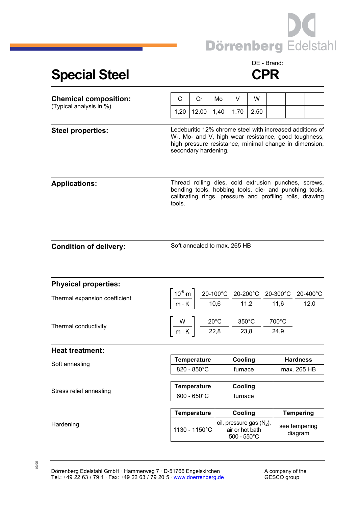

## Special Steel **CPR**

## DE - Brand:

| <b>Chemical composition:</b><br>(Typical analysis in %) | C                                                                                                                                                                                                  | Cr                                                                                                                                                                                                                                          | Mo   | V                                               | W    |               |                                |  |
|---------------------------------------------------------|----------------------------------------------------------------------------------------------------------------------------------------------------------------------------------------------------|---------------------------------------------------------------------------------------------------------------------------------------------------------------------------------------------------------------------------------------------|------|-------------------------------------------------|------|---------------|--------------------------------|--|
|                                                         | 1,20                                                                                                                                                                                               | 12,00                                                                                                                                                                                                                                       | 1,40 | 1,70                                            | 2,50 |               |                                |  |
| <b>Steel properties:</b>                                | Ledeburitic 12% chrome steel with increased additions of<br>W-, Mo- and V, high wear resistance, good toughness,<br>high pressure resistance, minimal change in dimension,<br>secondary hardening. |                                                                                                                                                                                                                                             |      |                                                 |      |               |                                |  |
| <b>Applications:</b>                                    | Thread rolling dies, cold extrusion punches, screws,<br>bending tools, hobbing tools, die- and punching tools,<br>calibrating rings, pressure and profiling rolls, drawing<br>tools.               |                                                                                                                                                                                                                                             |      |                                                 |      |               |                                |  |
| <b>Condition of delivery:</b>                           | Soft annealed to max. 265 HB                                                                                                                                                                       |                                                                                                                                                                                                                                             |      |                                                 |      |               |                                |  |
| <b>Physical properties:</b>                             |                                                                                                                                                                                                    |                                                                                                                                                                                                                                             |      |                                                 |      |               |                                |  |
| Thermal expansion coefficient                           |                                                                                                                                                                                                    | $\left[\frac{10^{-6}\text{ m}}{\text{m} \cdot \text{K}}\right] \frac{\text{20-100}^{\circ}\text{C}}{10,6} \frac{\text{20-200}^{\circ}\text{C}}{11,2} \frac{\text{20-300}^{\circ}\text{C}}{11,6} \frac{\text{20-400}^{\circ}\text{C}}{12,0}$ |      |                                                 |      |               |                                |  |
| Thermal conductivity                                    |                                                                                                                                                                                                    | $\left[\frac{W}{m\cdot K}\right] \frac{20^{\circ}C}{22.8} \frac{350^{\circ}C}{23.8}$                                                                                                                                                        |      |                                                 |      | 700°C<br>24,9 |                                |  |
| <b>Heat treatment:</b>                                  |                                                                                                                                                                                                    |                                                                                                                                                                                                                                             |      |                                                 |      |               |                                |  |
| Soft annealing                                          |                                                                                                                                                                                                    | <b>Temperature</b><br>820 - 850°C                                                                                                                                                                                                           |      | Cooling<br>furnace                              |      |               | <b>Hardness</b><br>max. 265 HB |  |
| Stress relief annealing                                 | <b>Temperature</b><br>$600 - 650^{\circ}$ C                                                                                                                                                        |                                                                                                                                                                                                                                             |      | Cooling<br>furnace                              |      |               |                                |  |
|                                                         |                                                                                                                                                                                                    |                                                                                                                                                                                                                                             |      |                                                 |      |               |                                |  |
| Hardening                                               | <b>Temperature</b>                                                                                                                                                                                 |                                                                                                                                                                                                                                             |      | Cooling<br>oil, pressure gas (N <sub>2</sub> ), |      |               | <b>Tempering</b>               |  |
|                                                         | 1130 - 1150°C                                                                                                                                                                                      |                                                                                                                                                                                                                                             |      | air or hot bath<br>$500 - 550^{\circ}$ C        |      |               | see tempering<br>diagram       |  |